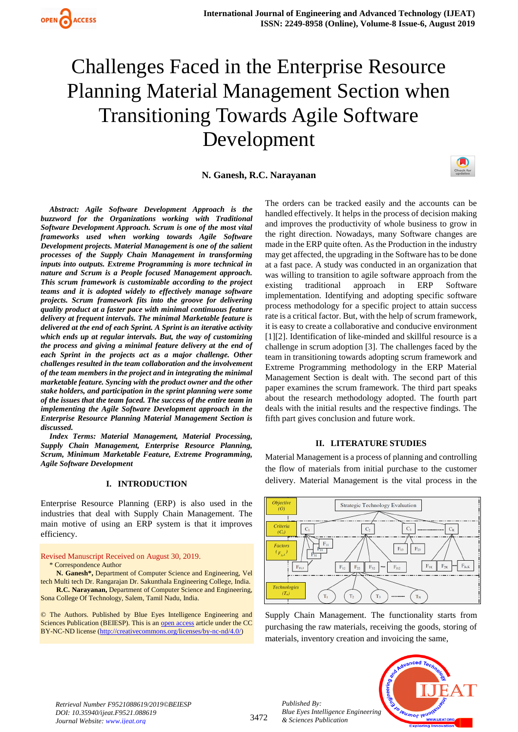

# Challenges Faced in the Enterprise Resource Planning Material Management Section when Transitioning Towards Agile Software Development

**N. Ganesh, R.C. Narayanan**



*Index Terms: Material Management, Material Processing, Supply Chain Management, Enterprise Resource Planning, Scrum, Minimum Marketable Feature, Extreme Programming, Agile Software Development*

#### **I. INTRODUCTION**

Enterprise Resource Planning (ERP) is also used in the industries that deal with Supply Chain Management. The main motive of using an ERP system is that it improves efficiency.

Revised Manuscript Received on August 30, 2019.

\* Correspondence Author

**N. Ganesh\*,** Department of Computer Science and Engineering, Vel tech Multi tech Dr. Rangarajan Dr. Sakunthala Engineering College, India. **R.C. Narayanan,** Department of Computer Science and Engineering,

Sona College Of Technology, Salem, Tamil Nadu, India. © The Authors. Published by Blue Eyes Intelligence Engineering and

Sciences Publication (BEIESP). This is an [open access](https://www.openaccess.nl/en/open-publications) article under the CC BY-NC-ND license [\(http://creativecommons.org/licenses/by-nc-nd/4.0/\)](http://creativecommons.org/licenses/by-nc-nd/4.0/)

The orders can be tracked easily and the accounts can be handled effectively. It helps in the process of decision making and improves the productivity of whole business to grow in the right direction. Nowadays, many Software changes are made in the ERP quite often. As the Production in the industry may get affected, the upgrading in the Software has to be done at a fast pace. A study was conducted in an organization that was willing to transition to agile software approach from the existing traditional approach in ERP Software implementation. Identifying and adopting specific software process methodology for a specific project to attain success rate is a critical factor. But, with the help of scrum framework, it is easy to create a collaborative and conducive environment [1][2]. Identification of like-minded and skillful resource is a challenge in scrum adoption [3]. The challenges faced by the team in transitioning towards adopting scrum framework and Extreme Programming methodology in the ERP Material Management Section is dealt with. The second part of this paper examines the scrum framework. The third part speaks about the research methodology adopted. The fourth part deals with the initial results and the respective findings. The fifth part gives conclusion and future work.

#### **II. LITERATURE STUDIES**

Material Management is a process of planning and controlling the flow of materials from initial purchase to the customer delivery. Material Management is the vital process in the



Supply Chain Management. The functionality starts from purchasing the raw materials, receiving the goods, storing of materials, inventory creation and invoicing the same,

*Retrieval Number F9521088619/2019©BEIESP DOI: 10.35940/ijeat.F9521.088619 Journal Website: www.ijeat.org*

3472

*Published By: Blue Eyes Intelligence Engineering & Sciences Publication* 

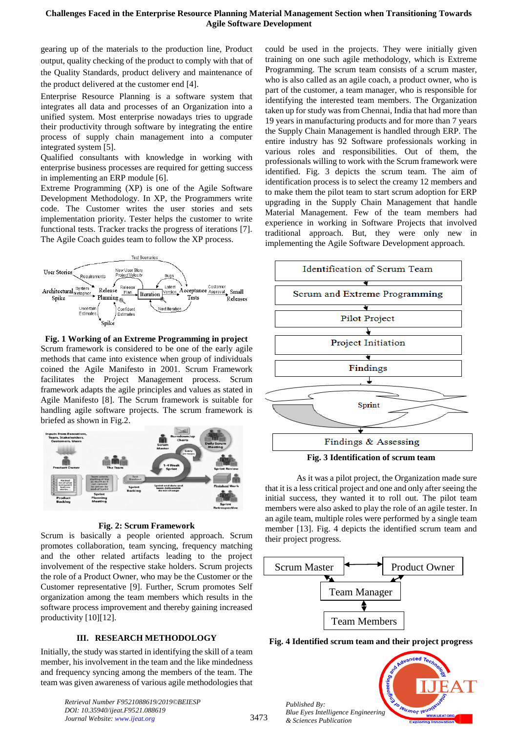#### **Challenges Faced in the Enterprise Resource Planning Material Management Section when Transitioning Towards Agile Software Development**

gearing up of the materials to the production line, Product output, quality checking of the product to comply with that of the Quality Standards, product delivery and maintenance of the product delivered at the customer end [4].

Enterprise Resource Planning is a software system that integrates all data and processes of an Organization into a unified system. Most enterprise nowadays tries to upgrade their productivity through software by integrating the entire process of supply chain management into a computer integrated system [5].

Qualified consultants with knowledge in working with enterprise business processes are required for getting success in implementing an ERP module [6].

Extreme Programming (XP) is one of the Agile Software Development Methodology. In XP, the Programmers write code. The Customer writes the user stories and sets implementation priority. Tester helps the customer to write functional tests. Tracker tracks the progress of iterations [7]. The Agile Coach guides team to follow the XP process.



**Fig. 1 Working of an Extreme Programming in project** Scrum framework is considered to be one of the early agile methods that came into existence when group of individuals coined the Agile Manifesto in 2001. Scrum Framework facilitates the Project Management process. Scrum framework adapts the agile principles and values as stated in Agile Manifesto [8]. The Scrum framework is suitable for handling agile software projects. The scrum framework is briefed as shown in Fig.2.



#### **Fig. 2: Scrum Framework**

Scrum is basically a people oriented approach. Scrum promotes collaboration, team syncing, frequency matching and the other related artifacts leading to the project involvement of the respective stake holders. Scrum projects the role of a Product Owner, who may be the Customer or the Customer representative [9]. Further, Scrum promotes Self organization among the team members which results in the software process improvement and thereby gaining increased productivity [10][12].

#### **III. RESEARCH METHODOLOGY**

Initially, the study was started in identifying the skill of a team member, his involvement in the team and the like mindedness and frequency syncing among the members of the team. The team was given awareness of various agile methodologies that

> *Retrieval Number F9521088619/2019©BEIESP DOI: 10.35940/ijeat.F9521.088619 Journal Website: www.ijeat.org*

could be used in the projects. They were initially given training on one such agile methodology, which is Extreme Programming. The scrum team consists of a scrum master, who is also called as an agile coach, a product owner, who is part of the customer, a team manager, who is responsible for identifying the interested team members. The Organization taken up for study was from Chennai, India that had more than 19 years in manufacturing products and for more than 7 years the Supply Chain Management is handled through ERP. The entire industry has 92 Software professionals working in various roles and responsibilities. Out of them, the professionals willing to work with the Scrum framework were identified. Fig. 3 depicts the scrum team. The aim of identification process is to select the creamy 12 members and to make them the pilot team to start scrum adoption for ERP upgrading in the Supply Chain Management that handle Material Management. Few of the team members had experience in working in Software Projects that involved traditional approach. But, they were only new in implementing the Agile Software Development approach.



**Fig. 3 Identification of scrum team**

As it was a pilot project, the Organization made sure that it is a less critical project and one and only after seeing the initial success, they wanted it to roll out. The pilot team members were also asked to play the role of an agile tester. In an agile team, multiple roles were performed by a single team member [13]. Fig. 4 depicts the identified scrum team and their project progress.



**Fig. 4 Identified scrum team and their project progress**

leusnor les

*Published By: Blue Eyes Intelligence Engineering & Sciences Publication* 

3473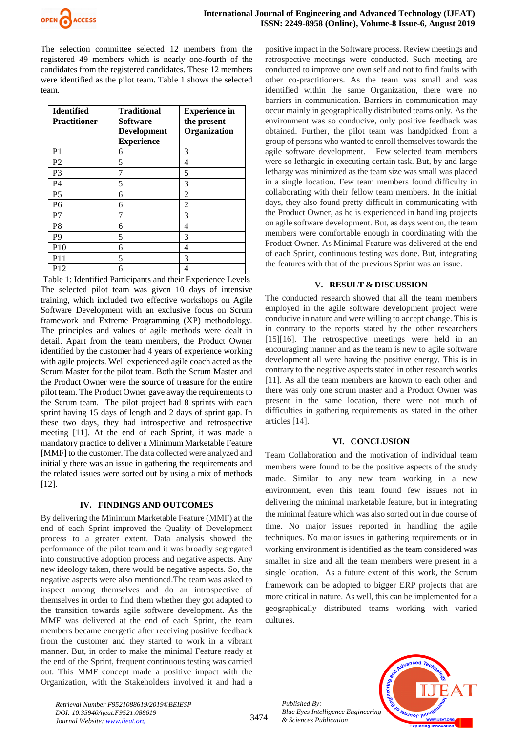

The selection committee selected 12 members from the registered 49 members which is nearly one-fourth of the candidates from the registered candidates. These 12 members were identified as the pilot team. Table 1 shows the selected team.

| <b>Identified</b><br><b>Practitioner</b> | <b>Traditional</b><br><b>Software</b><br><b>Development</b><br><b>Experience</b> | <b>Experience in</b><br>the present<br>Organization |
|------------------------------------------|----------------------------------------------------------------------------------|-----------------------------------------------------|
| P <sub>1</sub>                           | 6                                                                                | 3                                                   |
| P <sub>2</sub>                           | 5                                                                                | 4                                                   |
| P <sub>3</sub>                           | 7                                                                                | 5                                                   |
| P4                                       | 5                                                                                | 3                                                   |
| P <sub>5</sub>                           | 6                                                                                | 2                                                   |
| P <sub>6</sub>                           | 6                                                                                | 2                                                   |
| P7                                       | 7                                                                                | 3                                                   |
| P <sup>8</sup>                           | 6                                                                                | 4                                                   |
| P <sub>9</sub>                           | 5                                                                                | 3                                                   |
| P <sub>10</sub>                          | 6                                                                                | 4                                                   |
| P11                                      | 5                                                                                | 3                                                   |
| P <sub>12</sub>                          | 6                                                                                | 4                                                   |

Table 1: Identified Participants and their Experience Levels The selected pilot team was given 10 days of intensive training, which included two effective workshops on Agile Software Development with an exclusive focus on Scrum framework and Extreme Programming (XP) methodology. The principles and values of agile methods were dealt in detail. Apart from the team members, the Product Owner identified by the customer had 4 years of experience working with agile projects. Well experienced agile coach acted as the Scrum Master for the pilot team. Both the Scrum Master and the Product Owner were the source of treasure for the entire pilot team. The Product Owner gave away the requirements to the Scrum team. The pilot project had 8 sprints with each sprint having 15 days of length and 2 days of sprint gap. In these two days, they had introspective and retrospective meeting [11]. At the end of each Sprint, it was made a mandatory practice to deliver a Minimum Marketable Feature [MMF] to the customer. The data collected were analyzed and initially there was an issue in gathering the requirements and the related issues were sorted out by using a mix of methods [12].

#### **IV. FINDINGS AND OUTCOMES**

By delivering the Minimum Marketable Feature (MMF) at the end of each Sprint improved the Quality of Development process to a greater extent. Data analysis showed the performance of the pilot team and it was broadly segregated into constructive adoption process and negative aspects. Any new ideology taken, there would be negative aspects. So, the negative aspects were also mentioned.The team was asked to inspect among themselves and do an introspective of themselves in order to find them whether they got adapted to the transition towards agile software development. As the MMF was delivered at the end of each Sprint, the team members became energetic after receiving positive feedback from the customer and they started to work in a vibrant manner. But, in order to make the minimal Feature ready at the end of the Sprint, frequent continuous testing was carried out. This MMF concept made a positive impact with the Organization, with the Stakeholders involved it and had a

positive impact in the Software process. Review meetings and retrospective meetings were conducted. Such meeting are conducted to improve one own self and not to find faults with other co-practitioners. As the team was small and was identified within the same Organization, there were no barriers in communication. Barriers in communication may occur mainly in geographically distributed teams only. As the environment was so conducive, only positive feedback was obtained. Further, the pilot team was handpicked from a group of persons who wanted to enroll themselves towards the agile software development. Few selected team members were so lethargic in executing certain task. But, by and large lethargy was minimized as the team size was small was placed in a single location. Few team members found difficulty in collaborating with their fellow team members. In the initial days, they also found pretty difficult in communicating with the Product Owner, as he is experienced in handling projects on agile software development. But, as days went on, the team members were comfortable enough in coordinating with the Product Owner. As Minimal Feature was delivered at the end of each Sprint, continuous testing was done. But, integrating the features with that of the previous Sprint was an issue.

# **V. RESULT & DISCUSSION**

The conducted research showed that all the team members employed in the agile software development project were conducive in nature and were willing to accept change. This is in contrary to the reports stated by the other researchers [15][16]. The retrospective meetings were held in an encouraging manner and as the team is new to agile software development all were having the positive energy. This is in contrary to the negative aspects stated in other research works [11]. As all the team members are known to each other and there was only one scrum master and a Product Owner was present in the same location, there were not much of difficulties in gathering requirements as stated in the other articles [14].

# **VI. CONCLUSION**

Team Collaboration and the motivation of individual team members were found to be the positive aspects of the study made. Similar to any new team working in a new environment, even this team found few issues not in delivering the minimal marketable feature, but in integrating the minimal feature which was also sorted out in due course of time. No major issues reported in handling the agile techniques. No major issues in gathering requirements or in working environment is identified as the team considered was smaller in size and all the team members were present in a single location. As a future extent of this work, the Scrum framework can be adopted to bigger ERP projects that are more critical in nature. As well, this can be implemented for a geographically distributed teams working with varied cultures.

*Published By: Blue Eyes Intelligence Engineering & Sciences Publication* 



*Retrieval Number F9521088619/2019©BEIESP DOI: 10.35940/ijeat.F9521.088619 Journal Website: www.ijeat.org*